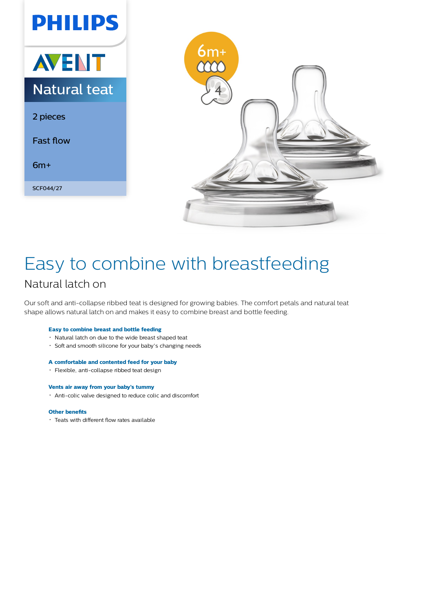



## Easy to combine with breastfeeding Natural latch on

Our soft and anti-collapse ribbed teat is designed for growing babies. The comfort petals and natural teat shape allows natural latch on and makes it easy to combine breast and bottle feeding.

#### **Easy to combine breast and bottle feeding**

- Natural latch on due to the wide breast shaped teat
- Soft and smooth silicone for your baby's changing needs

#### **A comfortable and contented feed for your baby**

Flexible, anti-collapse ribbed teat design

#### **Vents air away from your baby's tummy**

Anti-colic valve designed to reduce colic and discomfort

#### **Other benefits**

Teats with different flow rates available